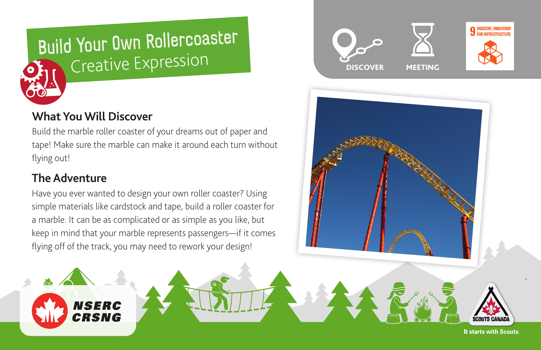

# **What You Will Discover**

NSERC CRSNG

Build the marble roller coaster of your dreams out of paper and tape! Make sure the marble can make it around each turn without flying out!

# **The Adventure**

Have you ever wanted to design your own roller coaster? Using simple materials like cardstock and tape, build a roller coaster for a marble. It can be as complicated or as simple as you like, but keep in mind that your marble represents passengers—if it comes flying off of the track, you may need to rework your design!





It starts with Scouts.